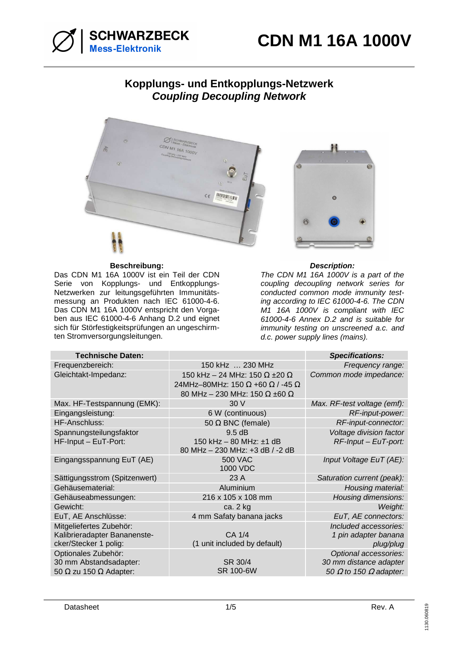

# **Kopplungs- und Entkopplungs-Netzwerk Coupling Decoupling Network**



## **Beschreibung: Description:**

Das CDN M1 16A 1000V ist ein Teil der CDN Serie von Kopplungs- und Entkopplungs-Netzwerken zur leitungsgeführten Immunitätsmessung an Produkten nach IEC 61000-4-6. Das CDN M1 16A 1000V entspricht den Vorgaben aus IEC 61000-4-6 Anhang D.2 und eignet sich für Störfestigkeitsprüfungen an ungeschirmten Stromversorgungsleitungen.



The CDN M1 16A 1000V is a part of the coupling decoupling network series for conducted common mode immunity testing according to IEC 61000-4-6. The CDN M1 16A 1000V is compliant with IEC 61000-4-6 Annex D.2 and is suitable for immunity testing on unscreened a.c. and d.c. power supply lines (mains).

| <b>Technische Daten:</b>                                                              |                                                                                                                                                     | <b>Specifications:</b>                                                                  |
|---------------------------------------------------------------------------------------|-----------------------------------------------------------------------------------------------------------------------------------------------------|-----------------------------------------------------------------------------------------|
| Frequenzbereich:                                                                      | 150 kHz  230 MHz                                                                                                                                    | Frequency range:                                                                        |
| Gleichtakt-Impedanz:                                                                  | 150 kHz - 24 MHz: 150 $\Omega$ ±20 $\Omega$<br>24MHz-80MHz: 150 $\Omega$ +60 $\Omega$ / -45 $\Omega$<br>80 MHz - 230 MHz: 150 $\Omega$ ±60 $\Omega$ | Common mode impedance:                                                                  |
| Max. HF-Testspannung (EMK):                                                           | 30 V                                                                                                                                                | Max. RF-test voltage (emf):                                                             |
| Eingangsleistung:                                                                     | 6 W (continuous)                                                                                                                                    | RF-input-power:                                                                         |
| HF-Anschluss:                                                                         | 50 $\Omega$ BNC (female)                                                                                                                            | RF-input-connector:                                                                     |
| Spannungsteilungsfaktor<br>HF-Input - EuT-Port:                                       | 9.5 dB<br>150 kHz - 80 MHz: ±1 dB<br>80 MHz - 230 MHz: +3 dB / -2 dB                                                                                | Voltage division factor<br>$RF$ -Input – EuT-port:                                      |
| Eingangsspannung EuT (AE)                                                             | <b>500 VAC</b><br>1000 VDC                                                                                                                          | Input Voltage EuT (AE):                                                                 |
| Sättigungsstrom (Spitzenwert)                                                         | 23 A                                                                                                                                                | Saturation current (peak):                                                              |
| Gehäusematerial:                                                                      | Aluminium                                                                                                                                           | Housing material:                                                                       |
| Gehäuseabmessungen:                                                                   | 216 x 105 x 108 mm                                                                                                                                  | Housing dimensions:                                                                     |
| Gewicht:                                                                              | ca. 2 kg                                                                                                                                            | Weight:                                                                                 |
| EuT, AE Anschlüsse:                                                                   | 4 mm Safaty banana jacks                                                                                                                            | EuT, AE connectors:                                                                     |
| Mitgeliefertes Zubehör:<br>Kalibrieradapter Bananenste-<br>cker/Stecker 1 polig:      | CA 1/4<br>(1 unit included by default)                                                                                                              | Included accessories:<br>1 pin adapter banana<br>plug/plug                              |
| Optionales Zubehör:<br>30 mm Abstandsadapter:<br>50 $\Omega$ zu 150 $\Omega$ Adapter: | SR 30/4<br>SR 100-6W                                                                                                                                | Optional accessories:<br>30 mm distance adapter<br>50 $\Omega$ to 150 $\Omega$ adapter: |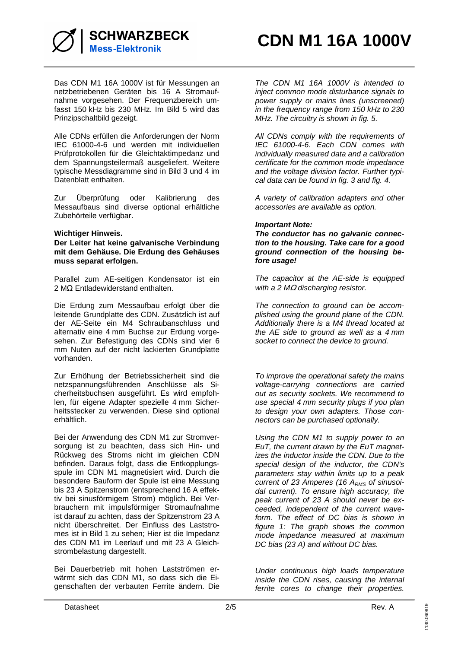

Das CDN M1 16A 1000V ist für Messungen an netzbetriebenen Geräten bis 16 A Stromaufnahme vorgesehen. Der Frequenzbereich umfasst 150 kHz bis 230 MHz. Im Bild 5 wird das Prinzipschaltbild gezeigt.

Alle CDNs erfüllen die Anforderungen der Norm IEC 61000-4-6 und werden mit individuellen Prüfprotokollen für die Gleichtaktimpedanz und dem Spannungsteilermaß ausgeliefert. Weitere typische Messdiagramme sind in Bild 3 und 4 im Datenblatt enthalten.

Zur Überprüfung oder Kalibrierung des Messaufbaus sind diverse optional erhältliche Zubehörteile verfügbar.

### **Wichtiger Hinweis.**

**Der Leiter hat keine galvanische Verbindung mit dem Gehäuse. Die Erdung des Gehäuses muss separat erfolgen.** 

Parallel zum AE-seitigen Kondensator ist ein 2 MΩ Entladewiderstand enthalten.

Die Erdung zum Messaufbau erfolgt über die leitende Grundplatte des CDN. Zusätzlich ist auf der AE-Seite ein M4 Schraubanschluss und alternativ eine 4 mm Buchse zur Erdung vorgesehen. Zur Befestigung des CDNs sind vier 6 mm Nuten auf der nicht lackierten Grundplatte vorhanden.

Zur Erhöhung der Betriebssicherheit sind die netzspannungsführenden Anschlüsse als Sicherheitsbuchsen ausgeführt. Es wird empfohlen, für eigene Adapter spezielle 4 mm Sicherheitsstecker zu verwenden. Diese sind optional erhältlich.

Bei der Anwendung des CDN M1 zur Stromversorgung ist zu beachten, dass sich Hin- und Rückweg des Stroms nicht im gleichen CDN befinden. Daraus folgt, dass die Entkopplungsspule im CDN M1 magnetisiert wird. Durch die besondere Bauform der Spule ist eine Messung bis 23 A Spitzenstrom (entsprechend 16 A effektiv bei sinusförmigem Strom) möglich. Bei Verbrauchern mit impulsförmiger Stromaufnahme ist darauf zu achten, dass der Spitzenstrom 23 A nicht überschreitet. Der Einfluss des Laststromes ist in Bild 1 zu sehen; Hier ist die Impedanz des CDN M1 im Leerlauf und mit 23 A Gleichstrombelastung dargestellt.

Bei Dauerbetrieb mit hohen Lastströmen erwärmt sich das CDN M1, so dass sich die Eigenschaften der verbauten Ferrite ändern. Die

The CDN M1 16A 1000V is intended to inject common mode disturbance signals to power supply or mains lines (unscreened) in the frequency range from 150 kHz to 230 MHz. The circuitry is shown in fig. 5.

All CDNs comply with the requirements of IEC 61000-4-6. Each CDN comes with individually measured data and a calibration certificate for the common mode impedance and the voltage division factor. Further typical data can be found in fig. 3 and fig. 4.

A variety of calibration adapters and other accessories are available as option.

### **Important Note:**

**The conductor has no galvanic connection to the housing. Take care for a good ground connection of the housing before usage!** 

The capacitor at the AE-side is equipped with a 2 MΩ discharging resistor.

The connection to ground can be accomplished using the ground plane of the CDN. Additionally there is a M4 thread located at the AE side to ground as well as a 4 mm socket to connect the device to ground.

To improve the operational safety the mains voltage-carrying connections are carried out as security sockets. We recommend to use special 4 mm security plugs if you plan to design your own adapters. Those connectors can be purchased optionally.

Using the CDN M1 to supply power to an EuT, the current drawn by the EuT magnetizes the inductor inside the CDN. Due to the special design of the inductor, the CDN's parameters stay within limits up to a peak current of 23 Amperes (16  $A<sub>RMS</sub>$  of sinusoidal current). To ensure high accuracy, the peak current of 23 A should never be exceeded, independent of the current waveform. The effect of DC bias is shown in figure 1: The graph shows the common mode impedance measured at maximum DC bias (23 A) and without DC bias.

Under continuous high loads temperature inside the CDN rises, causing the internal ferrite cores to change their properties.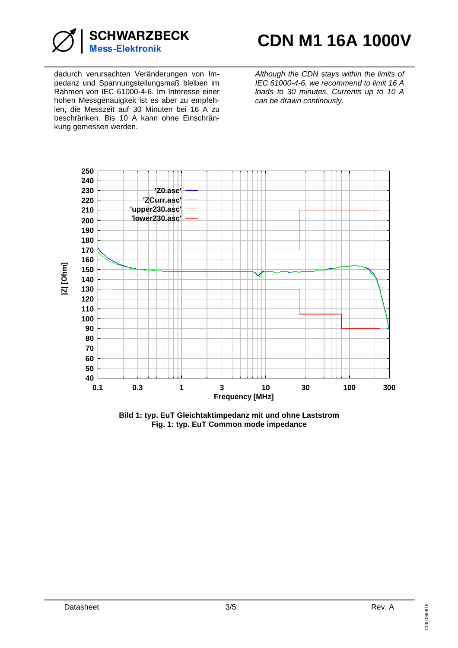

dadurch verursachten Veränderungen von Impedanz und Spannungsteilungsmaß bleiben im Rahmen von IEC 61000-4-6. Im Interesse einer hohen Messgenauigkeit ist es aber zu empfehlen, die Messzeit auf 30 Minuten bei 16 A zu beschränken. Bis 10 A kann ohne Einschränkung gemessen werden.

Although the CDN stays within the limits of IEC 61000-4-6, we recommend to limit 16 A loads to 30 minutes. Currents up to 10 A can be drawn continously.



**Bild 1: typ. EuT Gleichtaktimpedanz mit und ohne Laststrom Fig. 1: typ. EuT Common mode impedance**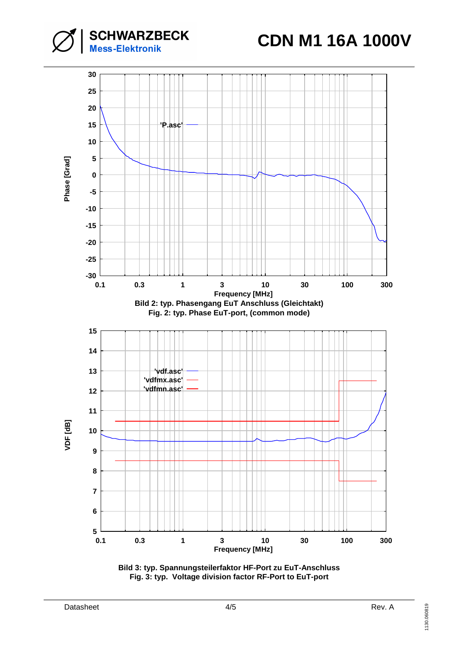**CDN M1 16A 1000V**